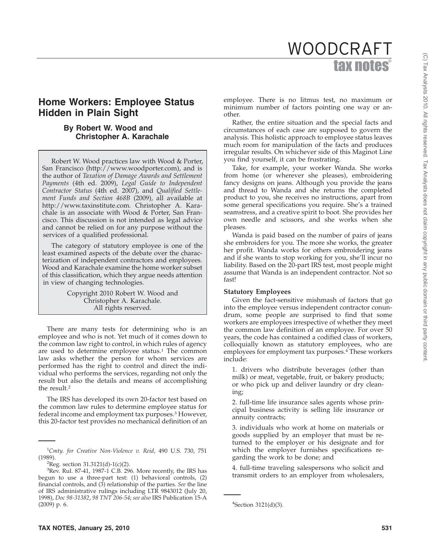# tax notes® WOODCRAFT

# **Home Workers: Employee Status Hidden in Plain Sight**

# **By Robert W. Wood and Christopher A. Karachale**

Robert W. Wood practices law with Wood & Porter, San Francisco (http://www.woodporter.com), and is the author of *Taxation of Damage Awards and Settlement Payments* (4th ed. 2009), *Legal Guide to Independent Contractor Status* (4th ed. 2007), and *Qualified Settlement Funds and Section 468B* (2009), all available at http://www.taxinstitute.com. Christopher A. Karachale is an associate with Wood & Porter, San Francisco. This discussion is not intended as legal advice and cannot be relied on for any purpose without the services of a qualified professional.

The category of statutory employee is one of the least examined aspects of the debate over the characterization of independent contractors and employees. Wood and Karachale examine the home worker subset of this classification, which they argue needs attention in view of changing technologies.

> Copyright 2010 Robert W. Wood and Christopher A. Karachale. All rights reserved.

There are many tests for determining who is an employee and who is not. Yet much of it comes down to the common law right to control, in which rules of agency are used to determine employee status.<sup>1</sup> The common law asks whether the person for whom services are performed has the right to control and direct the individual who performs the services, regarding not only the result but also the details and means of accomplishing the result.2

The IRS has developed its own 20-factor test based on the common law rules to determine employee status for federal income and employment tax purposes.<sup>3</sup> However, this 20-factor test provides no mechanical definition of an

employee. There is no litmus test, no maximum or minimum number of factors pointing one way or another.

Rather, the entire situation and the special facts and circumstances of each case are supposed to govern the analysis. This holistic approach to employee status leaves much room for manipulation of the facts and produces irregular results. On whichever side of this Maginot Line you find yourself, it can be frustrating.

Take, for example, your worker Wanda. She works from home (or wherever she pleases), embroidering fancy designs on jeans. Although you provide the jeans and thread to Wanda and she returns the completed product to you, she receives no instructions, apart from some general specifications you require. She's a trained seamstress, and a creative spirit to boot. She provides her own needle and scissors, and she works when she pleases.

Wanda is paid based on the number of pairs of jeans she embroiders for you. The more she works, the greater her profit. Wanda works for others embroidering jeans and if she wants to stop working for you, she'll incur no liability. Based on the 20-part IRS test, most people might assume that Wanda is an independent contractor. Not so fast!

#### **Statutory Employees**

Given the fact-sensitive mishmash of factors that go into the employee versus independent contractor conundrum, some people are surprised to find that some workers are employees irrespective of whether they meet the common law definition of an employee. For over 50 years, the code has contained a codified class of workers, colloquially known as statutory employees, who are employees for employment tax purposes.4 These workers include:

1. drivers who distribute beverages (other than milk) or meat, vegetable, fruit, or bakery products; or who pick up and deliver laundry or dry cleaning;

2. full-time life insurance sales agents whose principal business activity is selling life insurance or annuity contracts;

3. individuals who work at home on materials or goods supplied by an employer that must be returned to the employer or his designate and for which the employer furnishes specifications regarding the work to be done; and

4. full-time traveling salespersons who solicit and transmit orders to an employer from wholesalers,

<sup>1</sup> *Cmty. for Creative Non-Violence v. Reid*, 490 U.S. 730, 751 (1989). <sup>2</sup>

 ${}^{2}$ Reg. section 31.3121(d)-1(c)(2).

 $3$ Rev. Rul. 87-41, 1987-1 C.B. 296. More recently, the IRS has begun to use a three-part test: (1) behavioral controls, (2) financial controls, and (3) relationship of the parties. *See* the line of IRS administrative rulings including LTR 9843012 (July 20, 1998), *Doc 98-31382*, *98 TNT 206-54*; *see also* IRS Publication 15-A  $(2009)$  p. 6.

 ${}^{4}$ Section 3121(d)(3).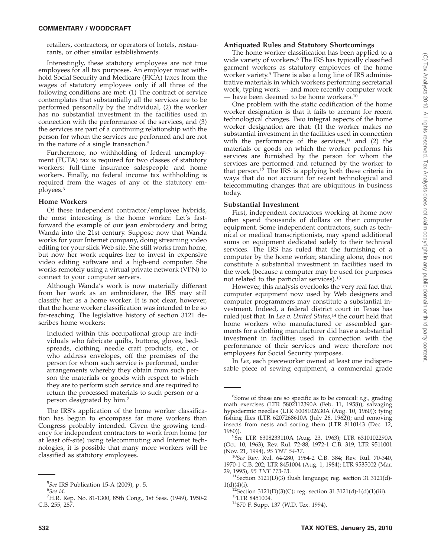retailers, contractors, or operators of hotels, restaurants, or other similar establishments.

Interestingly, these statutory employees are not true employees for all tax purposes. An employer must withhold Social Security and Medicare (FICA) taxes from the wages of statutory employees only if all three of the following conditions are met: (1) The contract of service contemplates that substantially all the services are to be performed personally by the individual, (2) the worker has no substantial investment in the facilities used in connection with the performance of the services, and (3) the services are part of a continuing relationship with the person for whom the services are performed and are not in the nature of a single transaction.5

Furthermore, no withholding of federal unemployment (FUTA) tax is required for two classes of statutory workers: full-time insurance salespeople and home workers. Finally, no federal income tax withholding is required from the wages of any of the statutory employees.6

### **Home Workers**

Of these independent contractor/employee hybrids, the most interesting is the home worker. Let's fastforward the example of our jean embroidery and bring Wanda into the 21st century. Suppose now that Wanda works for your Internet company, doing streaming video editing for your slick Web site. She still works from home, but now her work requires her to invest in expensive video editing software and a high-end computer. She works remotely using a virtual private network (VPN) to connect to your computer servers.

Although Wanda's work is now materially different from her work as an embroiderer, the IRS may still classify her as a home worker. It is not clear, however, that the home worker classification was intended to be so far-reaching. The legislative history of section 3121 describes home workers:

Included within this occupational group are individuals who fabricate quilts, buttons, gloves, bedspreads, clothing, needle craft products, etc., or who address envelopes, off the premises of the person for whom such service is performed, under arrangements whereby they obtain from such person the materials or goods with respect to which they are to perform such service and are required to return the processed materials to such person or a person designated by him.7

The IRS's application of the home worker classification has begun to encompass far more workers than Congress probably intended. Given the growing tendency for independent contractors to work from home (or at least off-site) using telecommuting and Internet technologies, it is possible that many more workers will be classified as statutory employees.

# **Antiquated Rules and Statutory Shortcomings**

The home worker classification has been applied to a wide variety of workers.<sup>8</sup> The IRS has typically classified garment workers as statutory employees of the home worker variety.9 There is also a long line of IRS administrative materials in which workers performing secretarial work, typing work — and more recently computer work — have been deemed to be home workers.10

One problem with the static codification of the home worker designation is that it fails to account for recent technological changes. Two integral aspects of the home worker designation are that: (1) the worker makes no substantial investment in the facilities used in connection with the performance of the services, $11$  and (2) the materials or goods on which the worker performs his services are furnished by the person for whom the services are performed and returned by the worker to that person.12 The IRS is applying both these criteria in ways that do not account for recent technological and telecommuting changes that are ubiquitous in business today.

# **Substantial Investment**

First, independent contractors working at home now often spend thousands of dollars on their computer equipment. Some independent contractors, such as technical or medical transcriptionists, may spend additional sums on equipment dedicated solely to their technical services. The IRS has ruled that the furnishing of a computer by the home worker, standing alone, does not constitute a substantial investment in facilities used in the work (because a computer may be used for purposes not related to the particular services).13

However, this analysis overlooks the very real fact that computer equipment now used by Web designers and computer programmers may constitute a substantial investment. Indeed, a federal district court in Texas has ruled just that. In *Lee v. United States*, <sup>14</sup> the court held that home workers who manufactured or assembled garments for a clothing manufacturer did have a substantial investment in facilities used in connection with the performance of their services and were therefore not employees for Social Security purposes.

In *Lee*, each pieceworker owned at least one indispensable piece of sewing equipment, a commercial grade

<sup>&</sup>lt;sup>5</sup>See IRS Publication 15-A (2009), p. 5.<br><sup>6</sup>See id

*See id.*

<sup>7</sup> H.R. Rep. No. 81-1300, 85th Cong., 1st Sess. (1949), 1950-2 C.B. 255, 287.

<sup>8</sup> Some of these are so specific as to be comical: *e.g.,* grading math exercises (LTR 5802112390A (Feb. 11, 1958)); salvaging hypodermic needles (LTR 6008102630A (Aug. 10, 1960)); tying fishing flies (LTR 6207268610A (July 26, 1962)); and removing insects from nests and sorting them (LTR 8110143 (Dec. 12,  $1980$ ).

*See* LTR 6308233110A (Aug. 23, 1963); LTR 6310102290A (Oct. 10, 1963); Rev. Rul. 72-88, 1972-1 C.B. 319; LTR 9511001

<sup>(</sup>Nov. 21, 1994), *95 TNT 54-17*. <sup>10</sup>*See* Rev. Rul. 64-280, 1964-2 C.B. 384; Rev. Rul. 70-340, 1970-1 C.B. 202; LTR 8451004 (Aug. 1, 1984); LTR 9535002 (Mar.

<sup>&</sup>lt;sup>11</sup>Section 3121(D)(3) flush language; reg. section 31.3121(d)-1(d)(4)(i).

<sup>&</sup>lt;sup>12</sup>Section 3121(D)(3)(C); reg. section 31.3121(d)-1(d)(1)(iii).<br><sup>13</sup>LTR 8451004.<br><sup>14</sup>870 F. Supp. 137 (W.D. Tex. 1994).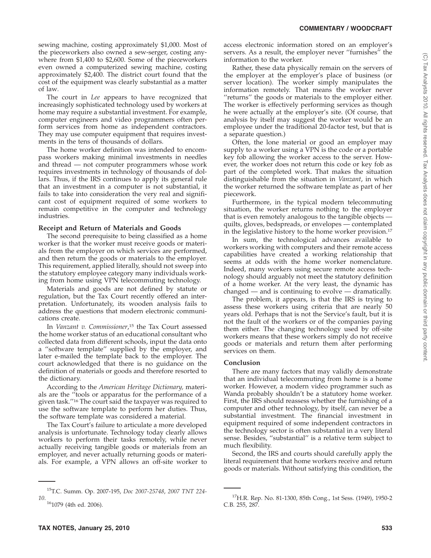sewing machine, costing approximately \$1,000. Most of the pieceworkers also owned a sew-serger, costing anywhere from \$1,400 to \$2,600. Some of the pieceworkers even owned a computerized sewing machine, costing approximately \$2,400. The district court found that the cost of the equipment was clearly substantial as a matter of law*.*

The court in *Lee* appears to have recognized that increasingly sophisticated technology used by workers at home may require a substantial investment. For example, computer engineers and video programmers often perform services from home as independent contractors. They may use computer equipment that requires investments in the tens of thousands of dollars.

The home worker definition was intended to encompass workers making minimal investments in needles and thread — not computer programmers whose work requires investments in technology of thousands of dollars. Thus, if the IRS continues to apply its general rule that an investment in a computer is not substantial, it fails to take into consideration the very real and significant cost of equipment required of some workers to remain competitive in the computer and technology industries.

#### **Receipt and Return of Materials and Goods**

The second prerequisite to being classified as a home worker is that the worker must receive goods or materials from the employer on which services are performed, and then return the goods or materials to the employer. This requirement, applied literally, should not sweep into the statutory employee category many individuals working from home using VPN telecommuting technology.

Materials and goods are not defined by statute or regulation, but the Tax Court recently offered an interpretation. Unfortunately, its wooden analysis fails to address the questions that modern electronic communications create.

In *Vanzant v. Commissioner*, <sup>15</sup> the Tax Court assessed the home worker status of an educational consultant who collected data from different schools, input the data onto a ''software template'' supplied by the employer, and later e-mailed the template back to the employer. The court acknowledged that there is no guidance on the definition of materials or goods and therefore resorted to the dictionary.

According to the *American Heritage Dictionary,* materials are the ''tools or apparatus for the performance of a given task.''16 The court said the taxpayer was required to use the software template to perform her duties. Thus, the software template was considered a material.

The Tax Court's failure to articulate a more developed analysis is unfortunate. Technology today clearly allows workers to perform their tasks remotely, while never actually receiving tangible goods or materials from an employer, and never actually returning goods or materials. For example, a VPN allows an off-site worker to

access electronic information stored on an employer's servers. As a result, the employer never "furnishes" the information to the worker.

Rather, these data physically remain on the servers of the employer at the employer's place of business (or server location). The worker simply manipulates the information remotely. That means the worker never "returns" the goods or materials to the employer either. The worker is effectively performing services as though he were actually at the employer's site. (Of course, that analysis by itself may suggest the worker would be an employee under the traditional 20-factor test, but that is a separate question.)

Often, the lone material or good an employer may supply to a worker using a VPN is the code or a portable key fob allowing the worker access to the server. However, the worker does not return this code or key fob as part of the completed work. That makes the situation distinguishable from the situation in *Vanzant*, in which the worker returned the software template as part of her piecework.

Furthermore, in the typical modern telecommuting situation, the worker returns nothing to the employer that is even remotely analogous to the tangible objects quilts, gloves, bedspreads, or envelopes — contemplated in the legislative history to the home worker provision.17

In sum, the technological advances available to workers working with computers and their remote access capabilities have created a working relationship that seems at odds with the home worker nomenclature. Indeed, many workers using secure remote access technology should arguably not meet the statutory definition of a home worker. At the very least, the dynamic has changed — and is continuing to evolve — dramatically.

The problem, it appears, is that the IRS is trying to assess these workers using criteria that are nearly 50 years old. Perhaps that is not the Service's fault, but it is not the fault of the workers or of the companies paying them either. The changing technology used by off-site workers means that these workers simply do not receive goods or materials and return them after performing services on them.

#### **Conclusion**

There are many factors that may validly demonstrate that an individual telecommuting from home is a home worker. However, a modern video programmer such as Wanda probably shouldn't be a statutory home worker. First, the IRS should reassess whether the furnishing of a computer and other technology, by itself, can never be a substantial investment. The financial investment in equipment required of some independent contractors in the technology sector is often substantial in a very literal sense. Besides, ''substantial'' is a relative term subject to much flexibility.

Second, the IRS and courts should carefully apply the literal requirement that home workers receive and return goods or materials. Without satisfying this condition, the

<sup>15</sup>T.C. Summ. Op. 2007-195, *Doc 2007-25748*, *2007 TNT 224- 10*.

<sup>161079 (4</sup>th ed. 2006).

<sup>17</sup>H.R. Rep. No. 81-1300, 85th Cong., 1st Sess. (1949), 1950-2 C.B. 255, 287.